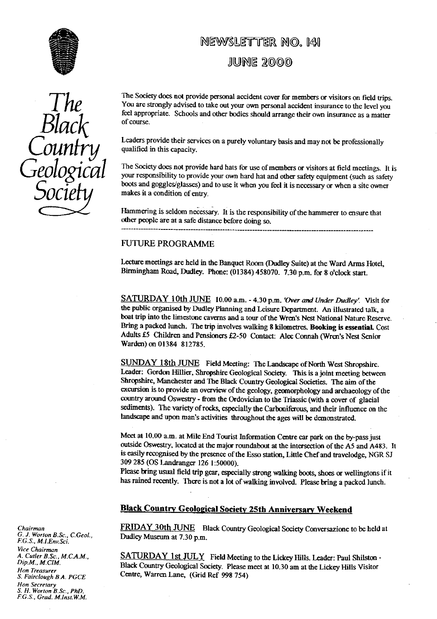

# *Black* of course.

# **NEWSLETTER NO. 141**

JUNE 2000

The Society does not provide personal accident cover for members or visitors on field trips.<br>
You are strongly advised to take out your own personal accident insurance to the level you<br>
feel appropriate. Schools and other You are strongly advised to take out your own personal accident insurance to the level you feel appropriate. Schools and other bodies should arrange their own insurance as a matter

> Leaders provide their services on a purely voluntary basis and may not be professionally qualified in this capacity.

**GEOLOGICAL** The Society does not provide hard hats for use of members or visitors at field meetings. It is<br>your responsibility to provide your own hard hat and other safety equipment (such as safety boots and goggles/glasses) and to use it when you feel it is necessary or when a site owner makes it a condition of entry.

> Hammering is seldom necessary. It is the responsibility of the hammerer to ensure that other people are at a safe distance before doing so.

## FUTURE PROGRAMME

Lecture meetings are held in the Banquet Room (Dudley Suite) at the Ward Arms Hotel, Birmingham Road, Dudley. Phone: (01384) 458070. 7.30 p.m. for 8 o'clock start.

SATURDAY 10th JUNE 10.00 a.m. - 4.30 p.m. *'Over and Under Dudley' Visit for* the public organised by Dudley Planning and Leisure Department. An illustrated talk, a boat trip into the limestone caverns and a tour of the Wren's Nest National Nature Reserve. Bring a packed lunch. The trip involves walking 8 kilometres. **Booking is essential.** Cost Adults £5 Children and Pensioners £2-50 Contact: Alec Connah (Wren's Nest Senior Warden) on 01384 812785.

SUNDAY 18th JUNE Field Meeting: The Landscape of North West Shropshire. Leader: Gordon Hillier, Shropshire Geological Society. This is a joint meeting between. Shropshire, Manchester and The Black Country Geological Societies. The aim of the excursion is to provide an overview of the geology, geomorphology and archaeology of the country around Oswestry - from the Ordovician to the Triassic (with a cover of glacial sediments). The variety of rocks, especially the Carboniferous, and their influence on the landscape and upon man's activities throughout the ages will be demonstrated.

Meet at 10.00 a.m. at Mile End Tourist Information Centre car park on the by-pass just outside Oswestry, located at the major roundabout at the intersection of the AS and A483. It is easily recognised by the presence of the Esso station, Little Chef and travelodge, NGR SJ 309 285 (OS Landranger 126 1:50000).

Please bring usual field trip gear, especially strong walking boots, shoes or wellingtons if it has rained recently. There is not a lot of walking involved. PIease bring a packed lunch.

# **Black Country Geological Society 25th Anniversary Weekend**

*Chairman* FRIDAY 30th JUNE Black Country Geological Society Conversazione to be held at G. J. Worton B.Sc., C.Geol., Dudley Museum at 7.30 p.m.

**ATURDAY 1st JULY** Field Meeting to the Lickey Hills. Leader: Paul Shilston -*Dip.M., M.CIM.* Black Country Geological Society. Please meet at 10.30 am at the Lickey Hills Visitor *Hon Treasurer S. Fairclough* Centre, Warren Lane, (Grid Ref 998 754) *S.A. PGCE*

*G. J. Worton B.Sc., C.Geo1.,* Dudley Museum at 7.30 p.m. F.G.S., *M.LEnv.Sci. Vice Chairman*<br>A. Cutler B.Sc., M.C.A.M.,<br>Dip.M., M.CIM. *Hon Secretary S. H. Worton B.Sc\_, PhD. F.G.S., Grad. M.1nst.W M.*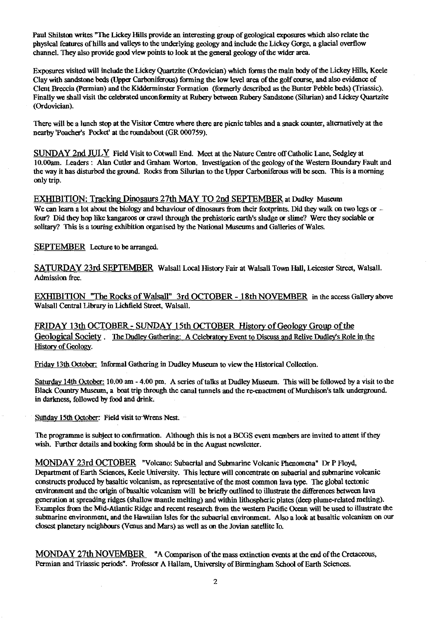Paul Shilston writes "The Lickey Hills provide an interesting group of geological exposures which also relate the physical features of hills and valleys to the underlying geology and include the Lickey Gorge, a glacial overflow channel. They also provide good view points to look at the general geology of the wider area.

Exposures visited will include the Lickey Quartzite (Ordovician) which forms the main body of the Lickey Hills, Keele Clay with sandstone beds (Upper Carboniferous) forming the low level area of the golf course, and also evidence of Cleat Breccia (Permian) and the Kidderminster Formation (formerly described as the Bunter Pebble beds) (Triassic). Finally we shall visit the celebrated unconformity at Rubery between Rubery Sandstone (Silurian) and Lickey Quartzite (Ordovician).

There will be a lunch stop at the Visitor Centre where there are picnic tables and a snack counter, alternatively at the nearby Poacher's Pocket' at the roundabout (GR 000759).

SUNDAY 2nd JULY Field Visit to Cotwali End. Meet at the Nature Centre off Catholic Lane, Sedgley at 10.O0am. Leaders: Alan Cutler and Graham Worton. Investigation of the geology of the Western Boundary Fault and the way it has disturbed the ground. Rocks from Silurian to the Upper Carboniferous will be seen. This is a morning only trip.

EXHIBITION: Tracking Dinosaurs 27th MAY TO 2nd SEPTEMBER at Dudley Museum We can learn a lot about the biology and behaviour of dinosaurs from their footprints. Did they walk on two legs or four? Did they hop like kangaroos or crawl through the prehistoric earth's sludge or slime? Were they sociable or solitary? This is a touring exhibition organised by the National Museums and Galleries of Wales.

SEPTEMBER Lecture to be arranged.

SATURDAY 23rd SEPTEMBER Walsall Local History Fair at Walsall Town Hall, Leicester Street, Walsall. Admission free.

EXHIBITION "The Rocks of Walsall" 3rd OCTOBER - 18th NOVEMBER in the access Gallery above Walsall Central Library in Lichfield Street, Walsall.

FRIDAY 13th OCTOBER - SUNDAY 15th OCTOBER History of Geology Group of the Geological Society. The Dudley Gathering: A Celebratory Event to Discuss and Relive Dudley's Role in the History of Geology.

Friday 13th October: Informal Gathering in Dudley Museum to view the historical Collection.

Saturday 14th October: 10.00 am - 4.00 pm. A series of talks at Dudley Museum. This will be followed by a visit to the Black Country Museum, a boat trip through the canal tunnels and the re-enactment of Murchison's talk underground. in darkness, followed by food and drink.

Sunday 15th October: Field visit to Wrens Nest.

The programme is subject to confirmation. Although this is not a BCGS event members are invited to attent if they wish. Further details and booking form should be in the August newsletter.

MONDAY 23rd OCTOBER "Volcano: Subaerial and Submarine Volcanic Phenomena" Dr P Floyd, Department of Earth Sciences, Keele University. This lecture will concentrate on subaeriai and submarine volcanic constructs produced by basaltic volcanism, as representative of the most common lava type. The global tectonic environment and the origin of basaltic volcanism will be briefly outlined to illustrate the differences between lava generation at spreading ridges (shallow mantle melting) and within lithospheric plates (deep plume-related melting). Examples from the Mid-Atlantic Ridge and recent research from the western Pacific Ocean will be used to illustrate the submarine environment, and the Hawaiian Isles for the subaerial environment. Also a look at basaltic volcanism on our closest planetary neighbours (Venus and Mars) as well as on the Jovian satellite Jo.

MONDAY 27th NOVEMBER "A Comparison of the mass extinction events at the end of the Cretaceous, Permian and Triassic periods". Professor A Hallam, University of Birmingham School of Earth Sciences.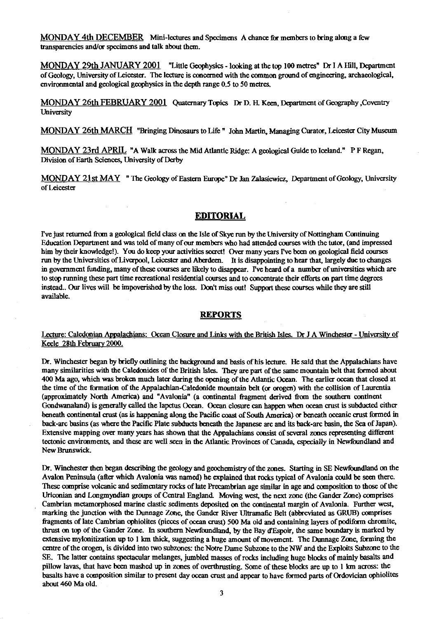MONDAY 4th DECEMBER Mini-lectures and Specimens A chance for members to bring along a few transparencies and/or specimens and talk about them.

MONDAY 29th JANUARY 2001 "Little Geophysics - looking at the top 100 metres" Dr I A Hill, Department of Geology, University of Leicester. The lecture is concerned with the common ground of engineering, archaeological, environmental and geological geophysics in the depth range 0.5 to 50 metres.

MONDAY 26th FEBRUARY 2001 Quaternary Topics Dr D. H. Keen, Department of Geography ,Coventry **University** 

MONDAY 26th MARCH "Bringing Dinosaurs to Life" John Martin, Managing Curator, Leicester City Museum

MONDAY 23rd APRIL "A Walk across the Mid Atlantic Ridge: A geological Guide to Iceland." P F Regan, Division of Earth Sciences, University of Derby

MONDAY 21st MAY " The Geology of Eastern Europe" Dr Jan Zalasiewicz, Department of Geology, University of Leicester

# **EDITORIAL**

I've just returned from a geological field class on the Isle of Skye run by the University of Nottingham Continuing Education Department and was told of many of our members who had attended courses with the tutor, (and impressed him by their knowledge!). You do keep your activities secret! Over many years I've been on geological field courses. run by the Universities of Liverpool, Leicester and Aberdeen. It is disappointing to hear that, largely due to changes. in government funding, many of these courses are likely to disappear. I've heard of a number of universities which are to stop running these part time recreational residential courses and to concentrate their efforts on part time degrees instead.. Our lives will be impoverished by the loss. Don't miss out! Support these courses while they are still available.

## **REPORTS**

Lecture: Caledonian Appalachians: Ocean Closure and Links with the British Isles. Dr J A Winchester - University of Keele 28th February 2000.

Dr. Winchester began by briefly outlining the background and basis of his lecture. He said that the Appalachians have many similarities with the Caledonides of the British Isles. *They* are part of the same mountain belt that formed about 400 Ma ago, which was broken much later during the opening of the Atlantic Ocean. The earlier ocean that closed at the time of the formation of the Appalachian-Caledonide mountain belt (or orogen) with the collision of Laurentia (approximately North America) and "Avalonia" (a continental fragment derived from the southern continent Gondwanaland) is generally called the Iapetus Ocean. Ocean closure can happen when ocean crust is subducted either beneath continental crust (as is happening along the Pacific coast of South America) or beneath oceanic crust formed in back-arc basins (as where the Pacific Plate subducts beneath the Japanese are and its back-arc basin, the Sea of Japan). Extensive mapping over many years has shown that the Appalachians consist of several zones representing different tectonic environments, and these are well seen in the Atlantic. Provinces of Canada, especially in Newfoundland and New Brunswick.

Dr. Winchester then began describing the geology and geochemistry of the zones. Starting in SE Newfoundland on the Avalon Peninsula (after which Avalonia was named) he explained that rocks typical of Avalonia could be seen there. These comprise volcanic and sedimentary rocks of late Precambrian age similar in age and composition to those of the Uriconian and Longmyndian groups of Central England. Moving west, the next zone (the Gander Zone) comprises Cambrian metamorphosed marine clastic sediments deposited on the continental margin of Avalonia. Further west, marking the junction with the Dunnage Zone, the Gander River Ultramatic Belt (abbreviated as GRUB) comprises fragments of late Cambrian ophiolites (pieces of ocean crust) 500 Ma old and containing layers of podiform chromite, thrust on top of the Gander Zone. In southern Newfoundland, by the Bay d`Espoir, the same boundary is marked by extensive mylonitization up to 1 km thick, suggesting a huge amount of movement. The Dunnage Zone, forming the centre of the orogen, is divided into two subzones: the Notre Dame Subzone to the NW and the Exploits Subzone to the SE. The latter contains spectacular melanges, jumbled masses of rocks including huge blocks of mainly basalts and pillow lavas, that have been mashed up in zones of overthrusting. Some of these blocks are up to 1 km across: the basalts have a composition similar to present day ocean crust and appear to have formed parts of Ordovician ophiolites about 460 Ma old.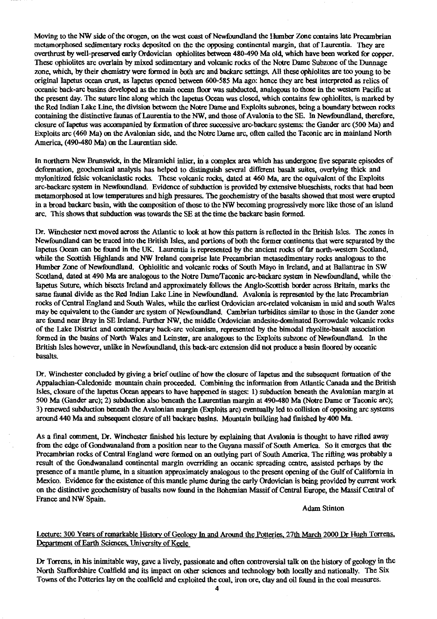Moving to the NW side of the orogen, on the west coast of Newfoundland the Humber Zone contains late Precambrian metamorphosed sedimentary rocks deposited on the the opposing continental margin, that of Laurentia. They are overthrust by well-preserved early Ordovician ophiolites between 480-490 Ma old, which have been worked for copper. These ophiolites are overlain by mixed sedimentary and volcanic rocks of the Notre Dame Subzone of the Dunnage zone, which, by their chemistry were formed in both arc and backarc settings. All these ophiolites are too young to be original Iapetus ocean crust, as Iapetus opened between 600-585 Ma ago: hence they are best interpreted as relics of oceanic back-arc basins developed as the main ocean floor was subducted, analogous to those in the western Pacific at the present day. The suture line along which the Iapetus Ocean was closed, which contains few ophiolites, is marked by the Red Indian Lake Line, the division between the Notre Dame and Exploits subzones, being a boundary between rocks containing the distinctive faunas of Laurentia to the NW, and those of Avalonia to the SE. In Newfoundland, therefore, closure of Iapetus was accompanied by formation of three successive arc-backarc systems: the Gander are (500 Ma) and Exploits arc (460 Ma) on the Avalonian side, and the Notre Dame arc, often called the Taconic arc in mainland North America, (490-480 Ma) on the Laurentian side.

In northern New Brunswick, in the Miramichi inlier, in a complex area which has undergone five separate episodes of deformation, geochemical analysis has helped to distinguish several different basalt suites, overlying thick and mylonitized felsic volcaniclastic rocks. These volcanic rocks, dated at 460 Ma, are the equivalent of the Exploits arc-backarc system in Newfoundland. Evidence of subduction is provided by extensive blueschists, rocks that had been metamorphosed at low temperatu<sup>r</sup>es and high pressures. The geochemistry of the basalts showed that most were erupted in a broad backarc basin, with the composition of those to the NW becoming progressively more like those of **an** island arc. **This** shows that subduction w**as** towards the SE at the time the backarc basin formed.

Dr. Winchester next moved across the Atlantic to look at how this pattern is reflected in the British Isles. The zones in Newfoundland can be traced into the British Isles, and portions of both the former continents that were separated by the Iapetus O**ce**an can be found in the UK. Laurentia is represented by the ancient rocks of far north-western Scotland, while the Scottish Highlands and NW Ireland comprise late Precambrian metasedimentary rocks analogous to the Humber Zone of Newfoundland. Ophiolitic and volcanic rocks of South Mayo in Ireland, and at Ballantrac in SW Scotland, dated at 490 Ma are analogous to the Notre DamelTaconic arc-backarc system in Newfoundland, while the Iapetus Suture, which bisects Ireland and approximately follows the Anglo-Scottish border across Britain, marks the same faunal divide as the Red Indian Lake Line in Newfoundland. Avalonia is represented by the late Precambrian rocks of Central England and South Wales, while the earliest Ordovician arc-related volcanism in mid and south Wales may be equivalent to the Gander arc system of Newfoundland. Cambrian turbidites similar to those in the Gander zone are found near Bray in SE Ireland. Further NW, the middle Ordovician andesite-dominated Borrowdale volcanic rocks of the Lake District and contemporary back-arc volcanism, represented by the bimodal rhyolite-basalt association formed in the basins of North Wales and Leinster, are analogous to the Exploits subzone of Newfoundland. In the British Isles however, unlike in Newfoundland, this back-arc extension did not produce a basin floored by oceanic basalts.

Dr. Winchester concluded by giving a brief outline of how the closure of Iapetus and the subsequent formation of the Appalachian-Caledonide mountain chain proceeded. Combining the information from Atlantic Canada and the British Isles, closure of the Iapetus Ocean appears to have happened in stages: 1) subduction beneath the Avalonian margin at **500** Ma (Gander arc); 2) subduction also beneath the Laurentian margin at 490-480 Ma (Notre Dame or Taconic arc); 3) renewed subduction beneath the Avalonian margin (Exploits arc) eventually led to collision of opposing are systems around 440 Ma and subsequent closure of all backarc basins. Mountain building had finished by 400 Ma.

As a final comment, Dr. **Winchester** finished his lecture by explaining that Avalonia is thought to have rifted away from the edge of Gondwanaland from a position near to the Guyana massif of South America. So it emerges that the Precambrian rocks of Central England were formed on an outlying part of South America. The rifting was probably a result of the Gondwanaland continental margin overriding an oceanic spreading centre, assisted perhaps by the presence of a mantle plume, in a situation approximately analogous to the present opening of the Gulf of California in Mexico. Evidence for the existence of this mantle plume during the early Ordovician is being provided by current work on the distinctive geochemistry of basalts now found in the Bohemian Massif of Central Europe, the Massif Central of **France** and NW Spain.

Adam Stinton

# Lecture: 300 Years of remarkable History of Geology In and Around the Potteries, 27th March 2000 Dr Hugh Torrens **Department of Earth Sciences, University of Keele**

Dr Torrens, in his inimitable way, gave a lively, passionate and often controversial talk on the histo**ry** of geology in the North Staffordshire Coalfield and its impact on other sciences and technology both locally and nationally. The Six Towns of the Potteries lay on the coalfield and exploited the coal, iron ore, clay and oil f**ou**nd in the coal measures.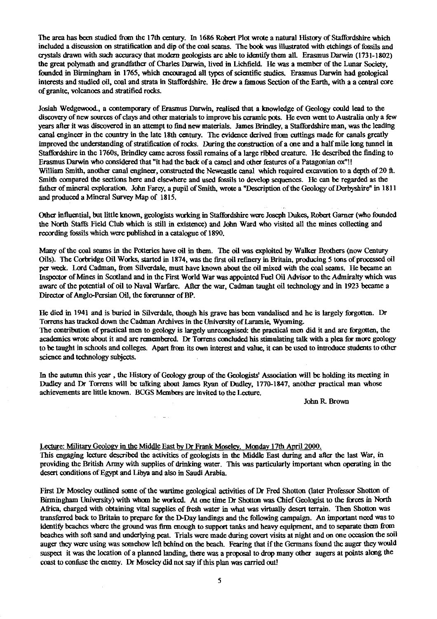The area has been studied from the 17th century. In 1686 Robert Plot wrote a natural History of Staffordshire which included a discussion on stratification and dip of the coal seams. The book was illustrated with etchings of fossils and crystals drawn with such accuracy that modern geologists are able to identify them all. Erasmus Darwin (1731-1802) the great polymath and grandfather of Charles Darwin, lived in Lichfield. He was a member of the Lunar Society, founded in Birmingham in 1765, which encouraged all types of scientific studies. Erasmus Darwin had geological interests and studied oil, coal and strata in Staffordshire. He drew a famous Section of the Earth, with a a central core of granite, volcanoes and stratified rocks.

Josiah Wedgewood., a contemporary of Erasmus Darwin, realised that a knowledge of Geology could lead to the discovery of new sources of clays and other materials to improve his ceramic pots. He even went to Australia only a few years after it was discovered in an attempt to find new materials. James Brindley, a Staffordshire man, was the leading canal engineer in the country in the late 18th century. The evidence derived from cuttings made for canals greatly improved the understanding of stratification of rocks. During the construction of a one and a half mile long tunnel in Staffordshire in the 1760s, Brindley came across fossil remains of a large ribbed creature. He described the finding to Erasmus Darwin who considered that "it had the back of a camel and other features of a Patagonian ox"!! William Smith, another canal engineer, constructed the Newcastle canal which required excavation to a depth of 20 ft. Smith compared the sections here and elsewhere and used fossils to develop sequences. He can be regarded as the father of mineral exploration. John Farcy, a pupil of Smith, wrote a "Description of the Geology of Derbyshire" in 1811 and produced a Mineral Survey Map of 1815.

Other influential, but little known, geologists working in Staffordshire were Joseph Dukes, Robert Garner (who founded the North Staffs Field Club *which is* still in existence) and John Ward who visited all the mines collecting and recording fossils which were published in a catalogue of 1890.

Many of the coal seams in the Potteries have oil in them. The oil was exploited by Walker Brothers (now Century Oils). The Corbridge Oil Works, started in 1874, was the first oil refinery in Britain, producing 5 tons of processed oil per week. Lord Cadman, from Silverdale, must have known about the oil mixed with the coal seams. He became an Inspector of Mines in Scotland and in the First World War was appointed Fuel Oil Advisor to the Admiralty which was aware of the potential of oil to Naval Warfare. After the war, Cadman taught oil technology and in 1923 became a Director of Anglo-Persian Oil, the forerunner of BP.

He died in 1941 and is buried in Silverdale, though his grave has been vandalised and he is largely forgotten. Dr Torrens has tracked down the Cadman Archives in the University of Laramie, Wyoming. The contribution of practical men to geology is largely unrecognised: the practical men did it and are forgotten, the academics wrote about it and are remembered. Dr Torrens concluded his stimulating talk with a plea for more geology to be taught in schools and colleges. Apart from its own interest and value, it can be used to introduce students to other science and technology subjects.

In the autumn this year , the History of Geology group of the Geologists' Association will be holding its meeting in Dudley and Dr Torrens will be talking about James Ryan of Dudley, 1770-1847, another practical man whose achievements are little known. BCGS Members are invited to the Lecture.

John R. Brown

#### Lecture: Military Geology in the Middle East by Dr Frank Moseley. Monday 17th April 2000.

This engaging lecture described the activities of geologists in the Middle East during and after the last War, in providing the British Army with supplies of drinking water. This was particularly important when operating in the desert conditions of Egypt and Libya and also in Saudi Arabia.

First Dr Moseley outlined some of the wartime geological activities of Dr Fred Shotton (later Professor Shotton of Birmingham University) with whom he worked. At one time Dr Shotton was Chief Geologist to the forces in North Africa, charged with obtaining vital supplies of fresh water in what was virtually desert terrain. Then Shotton was transferred back to Britain to prepare for the D-Day landings and the following campaign. An important need was to identify beaches where the ground was firm enough to support tanks and heavy equipment, and to separate them from beaches with soft sand and underlying peat. Trials were made during covert visits at night and on one occasion the soil auger they were using was somehow left behind on the beach. Fearing that if the Germans found the auger they would suspect it was the location of a planned landing, there was a proposal to drop many other augers at points along the coast to confuse the enemy. Dr Moseley did not say if this plan was carried out!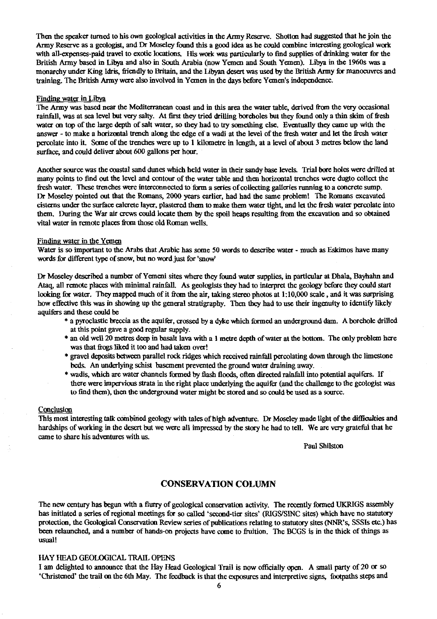Then the speaker turned to his own geological activities in the Army Reserve. Shotton had suggested that he join the Army Reserve as a geologist, and Dr Moseley found this a good idea as he could combine interesting geological work with all-expenses-paid travel to exotic locations. His work was particularly to find supplies of drinking water for the British Army based in Libya and also in South Arabia (now Yemen and South Yemen). L<sup>i</sup> bya in the 1960s was a monarchy under King Idris, friendly to Britain, and the Libyan desert was used by the British Army for manoeuvres and training. The British Army were also involved in Yemen in the days before Yemen's independence.

#### Finding water in Libya

The Army was based near the Mediterranean coast and in this area the water table, derived from the very occasional rainfall, was at sea level but very salty. At first they tried drilling boreholes but *they* found only a thin skim of fresh water on top of the large depth of salt water, so they had to try something else. Eventually they came up with the answer - to make a horizontal trench along the edge of a wadi at the level of the fresh water and let the fresh water percolate into it. Some of the trenches were up to I kilometre in length, at a level of about 3 metres below the land surface, and could deliver about 600 gallons per hour.

Another source was the coastal sand dimes which held water in their sandy base levels. Trial bore holes were drilled at many points to find out the level and contour of the water table and then horizontal trenches were dugto collect the fresh water. These trenches were interconnected to form a series of collecting galleries running to a concrete sump. Dr Moseley pointed out that the Romans, 2000 years earlier, had had the same problem! The Romans excavated cisterns under the surface caicrete layer, plastered than to make them water tight, and let the fresh water percolate into them. During the War air crews could locate them by the spoil heaps resulting from the excavation and so obtained vital water in remote places from those old Roman wells.

#### Finding water in the Yemen

Water is so important to the Arabs that Arabic has some 50 words to describe water - much as Eskimos have many words for different type of snow, but no word just for 'snow'

Dr Moseley described a number of Yemeni sites where they found water supplies, in particular at Dhala, Bayhahn and Ataq, all remote places with minimal rainfall. As geologists they had to interpret the geology before they could start looking for water. They mapped much of it from the air, taking stereo photos at 1:10,000 scale , and it was surprising how effective this was in showing up the general stratigraphy. Then they had to use their ingenuity to identify likely aquifers and these could be

- \* a pyroclastic breccia as the aquifer, crossed by a dyke which formed an underground dam. A borehole drilled at this point gave a good regular supply.
- \* an old well 20 metres deep in basalt lava with a 1 metre depth of water at the bottom. The only problem here was that frogs liked it too and had taken over!
- \* gravel deposits between parallel rock ridges which received rainfall percolating down through the limestone beds. An underlying schist basement prevented the ground water draining away.
- \* wadis, which are water channels formed by flash floods, often directed rainfall into potential aquifers. If there were impervious strata in the right place underlying the aquifer (and the challenge to the geologist was to find them), then the underground water might be stored and so could be used as a source.

#### Conclusion

This most interesting talk combined geology with tales of high adventure. Dr Moseley made light of the difficulties and hardships of working in the desert but we were all impressed by the story be had to tell. We are very grateful that he came to share his adventures with us.

Paul Shilston

# **CONSERVATION COLUMN**

The new century has begun with a flurry of geological conservation activity. The recently formed UKRIGS assembly has initiated a series of regional meetings for so called 'second-tier sites' (RIGS/SINC sites) which have no statutory protection, the Geological Conservation Review series of publications relating to statutory sites (NNR's, SSSIs etc.) has been relaunched, and a number of hands-on projects have come to fruition. The BCGS is in the thick of things as usual!

#### HAY HEAD GEOLOGICAL TRAIL OPENS

I am delighted to announce that the Hay Head Geological Trail is now officially open. A small party of 20 or so 'Christened' the trail on the 6th May. The feedback is that the exposures and interpretive signs, footpaths steps and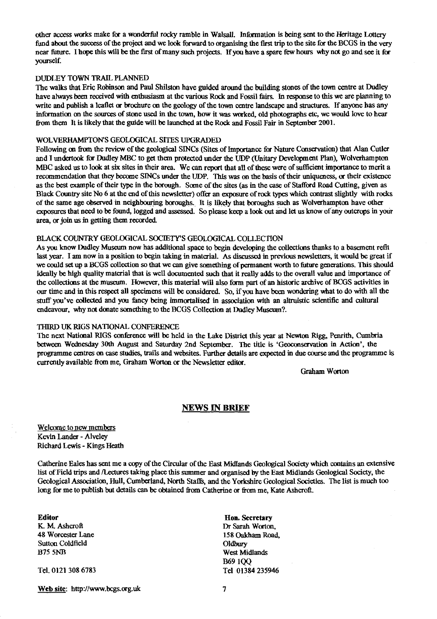other access works make for a wonderful rocky ramble in Walsall. Information is being sent to the Heritage Lottery fund about the success of the project and we look forward to organising the first trip to the site for the BCGS in the very near future. I hope this will be the first of many such projects. If you have a spare few hours *why* not go and see it for yourself.

#### DUDLEY TOWN TRAIL PLANNED

The walks that Eric Robinson and Paul Shilston have guided around the building stones of the town centre at Dudley have always been received with enthusiasm at the various Rock and Fossil fairs. In response to this we are planning to write and publish a leaflet **or** brochure on the geology of the town centre landscape and structures. If anyone has any information on the sources of stone used **in the town, how it was worked, old** *photographs* etc, we would love to hear from them It is likely that the guide will be launched at the Rock and Fossil Fair in September 2001.

#### WOLVERHAMPTONS GEOLOGICAL SITES UPGRADED

Following on from the review of the geological SINCs (Sites of Importance for Nature Conservation) that Alan Cutler and I undertook for Dudley MBC to get them protected under the UDP (Unitary Development Plan), Wolverhampton MBC asked us to look at six sites in their area. We can report that all of these were of sufficient importance to merit a recommendation that they become SINCs under the UDP. This was on the basis of their uniqueness, or their existence as the best example of their type in the borough. Some of the sites (as in the case of Stafford Road Cutting, given as Black Country site No 6 at the end of this newsletter) offer an exposure of rock types which contrast slightly with rocks of the same age observed in neighbouring boroughs. It is likely that boroughs such as Wolverhampton have other exposures that need to be found, logged and assessed. So please keep a look out and let us know of any outcrops in your area, or join us in getting them recorded.

## BLACK COUNTRY GEOLOGICAL SOCIETY"S GEOLOGICAL COLLECTION

As you know Dudley Museum now has additional space to begin developing the collections thanks to a basement refit last year. I am now in a position to begin taking in material. As discussed in previous newsletters, it would be great if we could set up a BCGS collection so that we can give something of permanent worth to future generations. This should ideally be high quality material that is well documented such that it really adds to the overall value and importance of the collections at the museum. However, this material will also farm part of an historic archive of BCGS activities in our time and in this respect all specimens will be considered. So, if you have been wondering what to do with all the stuff you've collected and you fancy being immortalised in association with an altruistic scientific and cultural endeavour, why not donate something to the BCGS Collection at Dudley Museum?.

#### THIRD UK RIGS NATIONAL CONFERENCE

The next National RIGS conference will be held *in the* Lake District this year at Newton Rigg, Penrith, Cumbria between Wednesday 30th August and Saturday 2nd September. The title is 'Geoconservation in Action', the programme centres on case studies, trails and websites. Further details are expected in due course and the programme is currently available from me, Graham Worton or the Newsletter editor.

Graham Worton

#### **NEWS IN BRIEF**

Welcome to new members Kevin Lander - Alveley Richard Lewis - Kings Heath

Catherine Eales has sent me a copy of the Circular of the East Midlands Geological Society which contains an extensive list of Field trips and /Lectures taking place this summer and organised by the East Midlands Geological Society, the Geological Association, Hull, Cumberland, North Staffs, and the Yorkshire Geological Societies. The list is much too long for me to publish but details can be obtained from Catherine or from me, Kate Ashcroft.

**Editor Hon. Secretary**<br> **K. M. Ashcroft Example 2008 Hon. Secretary** K. M. Ashcroft Dr Sarah Worton, 2008. Example 2008. Dr Sarah Worton, 2008. Dr Sarah Worton, 2008. Dr Sarah Worton, 2008. Dr Sarah Worton, 2008. Dr Sarah Worton, 2008. Dr Sarah Worton, 2008. Dr Sarah Worton, 2008. Dr Sarah Sutton Coldfield<br>B75 5NB

**Web site:** <http://www.bcgs.org.uk> 7

158 Oakham Road,<br>Oldbary West Midlands B69 IQQ Tel. 0121 308 6783 Tel 01384 235946